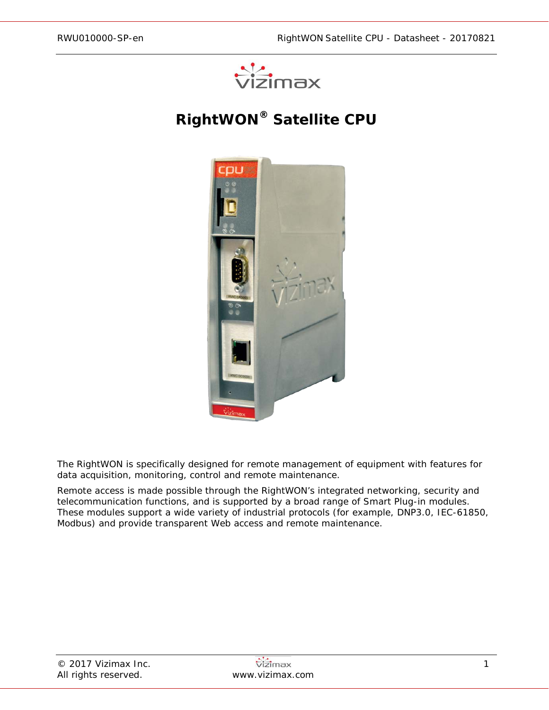

# **RightWON® Satellite CPU**



The RightWON is specifically designed for remote management of equipment with features for data acquisition, monitoring, control and remote maintenance.

Remote access is made possible through the RightWON's integrated networking, security and telecommunication functions, and is supported by a broad range of Smart Plug-in modules. These modules support a wide variety of industrial protocols (for example, DNP3.0, IEC-61850, Modbus) and provide transparent Web access and remote maintenance.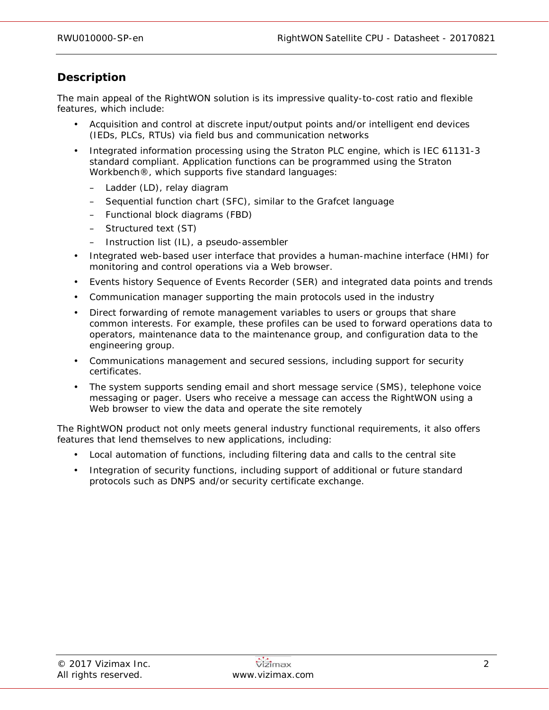# **Description**

The main appeal of the RightWON solution is its impressive quality-to-cost ratio and flexible features, which include:

- Acquisition and control at discrete input/output points and/or intelligent end devices (IEDs, PLCs, RTUs) via field bus and communication networks
- Integrated information processing using the Straton PLC engine, which is IEC 61131-3 standard compliant. Application functions can be programmed using the Straton Workbench®, which supports five standard languages:
	- Ladder (LD), relay diagram
	- Sequential function chart (SFC), similar to the Grafcet language
	- Functional block diagrams (FBD)
	- Structured text (ST)
	- Instruction list (IL), a pseudo-assembler
- Integrated web-based user interface that provides a human-machine interface (HMI) for monitoring and control operations via a Web browser.
- Events history Sequence of Events Recorder (SER) and integrated data points and trends
- Communication manager supporting the main protocols used in the industry
- Direct forwarding of remote management variables to users or groups that share common interests. For example, these profiles can be used to forward operations data to operators, maintenance data to the maintenance group, and configuration data to the engineering group.
- Communications management and secured sessions, including support for security certificates.
- The system supports sending email and short message service (SMS), telephone voice messaging or pager. Users who receive a message can access the RightWON using a Web browser to view the data and operate the site remotely

The RightWON product not only meets general industry functional requirements, it also offers features that lend themselves to new applications, including:

- Local automation of functions, including filtering data and calls to the central site
- Integration of security functions, including support of additional or future standard protocols such as DNPS and/or security certificate exchange.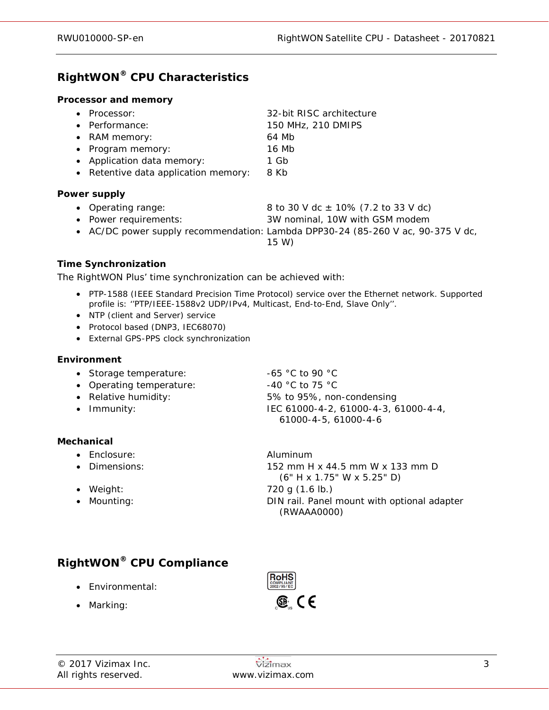# **RightWON® CPU Characteristics**

#### **Processor and memory**

| • Processor:                         | 32-bit RISC architecture |
|--------------------------------------|--------------------------|
| • Performance:                       | 150 MHz, 210 DMIPS       |
| • RAM memory:                        | 64 Mb                    |
| • Program memory:                    | 16 Mb                    |
| • Application data memory:           | 1 Gb                     |
| • Retentive data application memory: | 8 Kb                     |

#### **Power supply**

- Operating range:  $8 \text{ to } 30 \text{ V dc } \pm 10\%$  (7.2 to 33 V dc)
- Power requirements: 3W nominal, 10W with GSM modem
- AC/DC power supply recommendation: Lambda DPP30-24 (85-260 V ac, 90-375 V dc,
	- 15 W)

### **Time Synchronization**

The RightWON Plus' time synchronization can be achieved with:

- PTP-1588 (IEEE Standard Precision Time Protocol) service over the Ethernet network. Supported profile is: ''PTP/IEEE-1588v2 UDP/IPv4, Multicast, End-to-End, Slave Only''.
- NTP (client and Server) service
- Protocol based (DNP3, IEC68070)
- External GPS-PPS clock synchronization

#### **Environment**

- Storage temperature: -65 °C to 90 °C
- Operating temperature:  $-40 °C$  to 75 °C
- 
- 

### **Mechanical**

- Enclosure: Aluminum
- 
- 
- 

• Relative humidity: 5% to 95%, non-condensing • Immunity: IEC 61000-4-2, 61000-4-3, 61000-4-4, 61000-4-5, 61000-4-6

• Dimensions: 152 mm H x 44.5 mm W x 133 mm D (6" H x 1.75" W x 5.25" D) • Weight: 720 g (1.6 lb.) • Mounting:  $\bullet$  Mounting:  $\bullet$  DIN rail. Panel mount with optional adapter (RWAAA0000)

# **RightWON® CPU Compliance**

- Environmental:
- Marking:

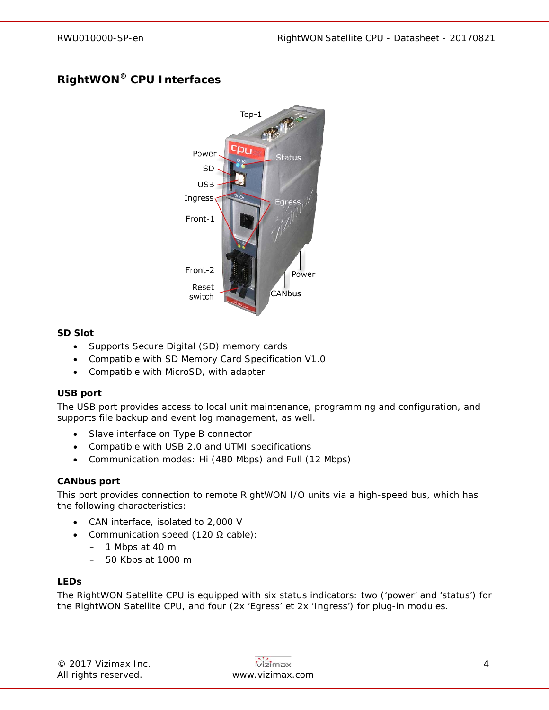# **RightWON® CPU Interfaces**



### **SD Slot**

- Supports Secure Digital (SD) memory cards
- Compatible with SD Memory Card Specification V1.0
- Compatible with MicroSD, with adapter

#### **USB port**

The USB port provides access to local unit maintenance, programming and configuration, and supports file backup and event log management, as well.

- Slave interface on Type B connector
- Compatible with USB 2.0 and UTMI specifications
- Communication modes: Hi (480 Mbps) and Full (12 Mbps)

#### **CANbus port**

This port provides connection to remote RightWON I/O units via a high-speed bus, which has the following characteristics:

- CAN interface, isolated to 2,000 V
- Communication speed (120 Ω cable):
	- 1 Mbps at 40 m
	- 50 Kbps at 1000 m

#### **LEDs**

The RightWON Satellite CPU is equipped with six status indicators: two ('power' and 'status') for the RightWON Satellite CPU, and four (2x 'Egress' et 2x 'Ingress') for plug-in modules.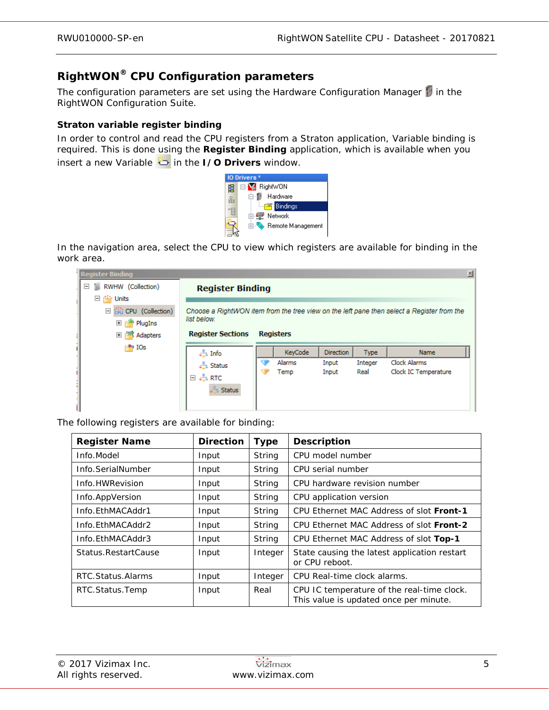# **RightWON® CPU Configuration parameters**

The configuration parameters are set using the Hardware Configuration Manager in the RightWON Configuration Suite.

### **Straton variable register binding**

In order to control and read the CPU registers from a Straton application, Variable binding is required. This is done using the **Register Binding** application, which is available when you insert a new Variable in the **I/O Drivers** window.



In the navigation area, select the CPU to view which registers are available for binding in the work area.

| <b>Register Binding</b>                 |                                                                                                           |  |                  |                  |             |                      | $\times$ |
|-----------------------------------------|-----------------------------------------------------------------------------------------------------------|--|------------------|------------------|-------------|----------------------|----------|
| RWHW (Collection)<br>Ξ<br>n.            | <b>Register Binding</b>                                                                                   |  |                  |                  |             |                      |          |
| 日 il Units                              |                                                                                                           |  |                  |                  |             |                      |          |
| $\Box$ $\frac{1}{100}$ CPU (Collection) | Choose a RightWON item from the tree view on the left pane then select a Register from the<br>list below. |  |                  |                  |             |                      |          |
| $\overline{+}$<br>PlugIns               |                                                                                                           |  |                  |                  |             |                      |          |
| 田<br>Adapters                           | <b>Register Sections</b>                                                                                  |  | <b>Registers</b> |                  |             |                      |          |
| $\mathbb{F}^{\bullet}$ IOs              | $\frac{1}{\sqrt{2}}$ Info                                                                                 |  | KeyCode          | <b>Direction</b> | <b>Type</b> | <b>Name</b>          |          |
|                                         | Status                                                                                                    |  | Alarms           | Input            | Integer     | Clock Alarms         |          |
|                                         | 日 - RTC                                                                                                   |  | Temp             | Input            | Real        | Clock IC Temperature |          |
|                                         |                                                                                                           |  |                  |                  |             |                      |          |
|                                         |                                                                                                           |  |                  |                  |             |                      |          |
|                                         | Status                                                                                                    |  |                  |                  |             |                      |          |

The following registers are available for binding:

| <b>Register Name</b> | <b>Direction</b> | <b>Type</b> | <b>Description</b>                                                                   |
|----------------------|------------------|-------------|--------------------------------------------------------------------------------------|
| Info.Model           | Input            | String      | CPU model number                                                                     |
| Info.SerialNumber    | Input            | String      | CPU serial number                                                                    |
| Info.HWRevision      | Input            | String      | CPU hardware revision number                                                         |
| Info.AppVersion      | Input            | String      | CPU application version                                                              |
| Info.EthMACAddr1     | Input            | String      | CPU Ethernet MAC Address of slot Front-1                                             |
| Info.EthMACAddr2     | Input            | String      | CPU Ethernet MAC Address of slot Front-2                                             |
| Info.EthMACAddr3     | Input            | String      | CPU Ethernet MAC Address of slot Top-1                                               |
| Status.RestartCause  | Input            | Integer     | State causing the latest application restart<br>or CPU reboot.                       |
| RTC.Status.Alarms    | Input            | Integer     | CPU Real-time clock alarms.                                                          |
| RTC.Status.Temp      | Input            | Real        | CPU IC temperature of the real-time clock.<br>This value is updated once per minute. |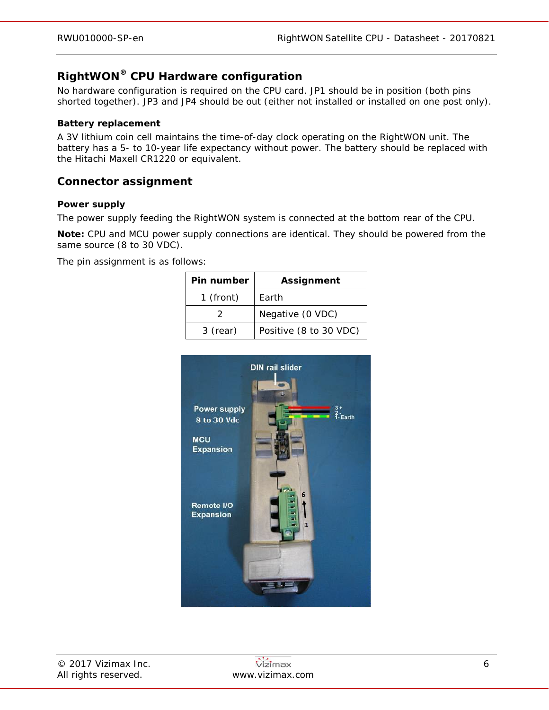# **RightWON® CPU Hardware configuration**

No hardware configuration is required on the CPU card. JP1 should be in position (both pins shorted together). JP3 and JP4 should be out (either not installed or installed on one post only).

#### **Battery replacement**

A 3V lithium coin cell maintains the time-of-day clock operating on the RightWON unit. The battery has a 5- to 10-year life expectancy without power. The battery should be replaced with the Hitachi Maxell CR1220 or equivalent.

## **Connector assignment**

#### **Power supply**

The power supply feeding the RightWON system is connected at the bottom rear of the CPU.

**Note:** CPU and MCU power supply connections are identical. They should be powered from the same source (8 to 30 VDC).

The pin assignment is as follows:

| Pin number  | <b>Assignment</b>      |
|-------------|------------------------|
| $1$ (front) | Earth                  |
|             | Negative (0 VDC)       |
| 3 (rear)    | Positive (8 to 30 VDC) |

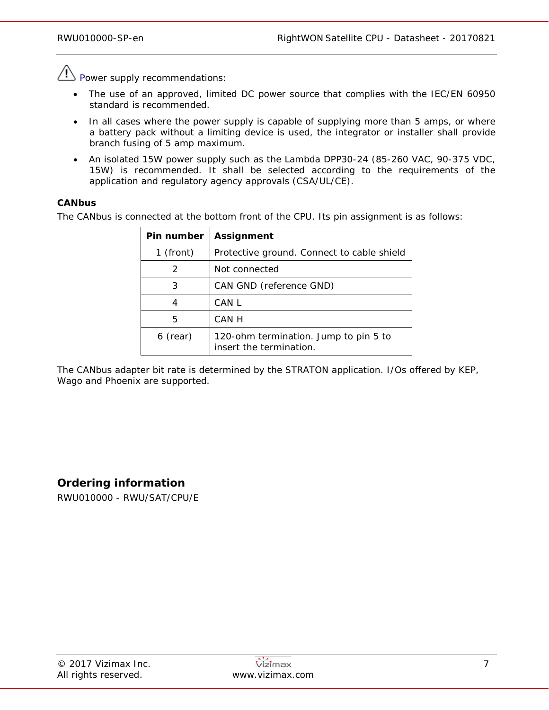$\langle \underline{P} \rangle$  Power supply recommendations:

- The use of an approved, limited DC power source that complies with the IEC/EN 60950 standard is recommended.
- In all cases where the power supply is capable of supplying more than 5 amps, or where a battery pack without a limiting device is used, the integrator or installer shall provide branch fusing of 5 amp maximum.
- An isolated 15W power supply such as the Lambda DPP30-24 (85-260 VAC, 90-375 VDC, 15W) is recommended. It shall be selected according to the requirements of the application and regulatory agency approvals (CSA/UL/CE).

### **CANbus**

The CANbus is connected at the bottom front of the CPU. Its pin assignment is as follows:

| Pin number | <b>Assignment</b>                                                |
|------------|------------------------------------------------------------------|
| 1 (front)  | Protective ground. Connect to cable shield                       |
| 2          | Not connected                                                    |
| 3          | CAN GND (reference GND)                                          |
| 4          | CAN L                                                            |
| 5          | CAN H                                                            |
| 6 (rear)   | 120-ohm termination. Jump to pin 5 to<br>insert the termination. |

The CANbus adapter bit rate is determined by the STRATON application. I/Os offered by KEP, Wago and Phoenix are supported.

## **Ordering information**

RWU010000 - RWU/SAT/CPU/E